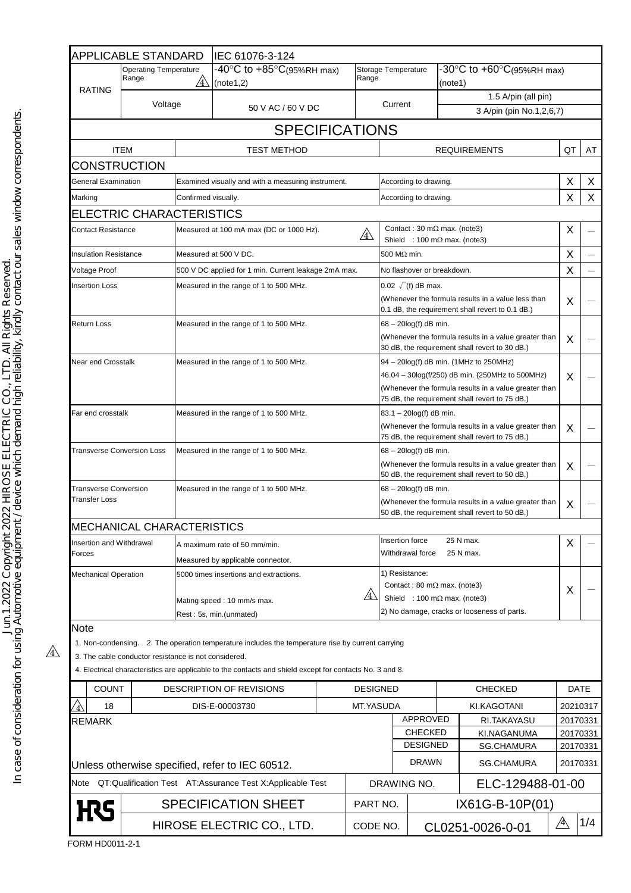|                                                                                                                   | <b>APPLICABLE STANDARD</b>                                       |                                                                                                             | IEC 61076-3-124                                                                                          |  |                                                                                                                                     |                                                                                                                                                                                                      |                                                        |   |                          |              |          |
|-------------------------------------------------------------------------------------------------------------------|------------------------------------------------------------------|-------------------------------------------------------------------------------------------------------------|----------------------------------------------------------------------------------------------------------|--|-------------------------------------------------------------------------------------------------------------------------------------|------------------------------------------------------------------------------------------------------------------------------------------------------------------------------------------------------|--------------------------------------------------------|---|--------------------------|--------------|----------|
| <b>RATING</b>                                                                                                     | <b>Operating Temperature</b><br>Range<br>$\mathcal{A} \setminus$ |                                                                                                             | $-40^{\circ}$ C to $+85^{\circ}$ C(95%RH max)<br>Range<br>(note1,2)                                      |  | Storage Temperature                                                                                                                 |                                                                                                                                                                                                      | -30°C to $+60^{\circ}C(95\%RH$ max)<br>(note1)         |   |                          |              |          |
|                                                                                                                   | Voltage                                                          |                                                                                                             |                                                                                                          |  |                                                                                                                                     |                                                                                                                                                                                                      |                                                        |   | 1.5 A/pin (all pin)      |              |          |
|                                                                                                                   |                                                                  |                                                                                                             | 50 V AC / 60 V DC                                                                                        |  |                                                                                                                                     | Current                                                                                                                                                                                              |                                                        |   | 3 A/pin (pin No.1,2,6,7) |              |          |
|                                                                                                                   |                                                                  |                                                                                                             | <b>SPECIFICATIONS</b>                                                                                    |  |                                                                                                                                     |                                                                                                                                                                                                      |                                                        |   |                          |              |          |
|                                                                                                                   | <b>ITEM</b>                                                      |                                                                                                             | TEST METHOD                                                                                              |  |                                                                                                                                     | <b>REQUIREMENTS</b>                                                                                                                                                                                  |                                                        |   |                          | QT           | AT       |
| <b>CONSTRUCTION</b>                                                                                               |                                                                  |                                                                                                             |                                                                                                          |  |                                                                                                                                     |                                                                                                                                                                                                      |                                                        |   |                          |              |          |
| General Examination                                                                                               |                                                                  | Examined visually and with a measuring instrument.                                                          |                                                                                                          |  |                                                                                                                                     | According to drawing.                                                                                                                                                                                |                                                        |   |                          |              | X        |
| Marking                                                                                                           |                                                                  | Confirmed visually.                                                                                         |                                                                                                          |  | According to drawing.                                                                                                               |                                                                                                                                                                                                      |                                                        |   | X                        | X            |          |
|                                                                                                                   | ELECTRIC CHARACTERISTICS                                         |                                                                                                             |                                                                                                          |  |                                                                                                                                     |                                                                                                                                                                                                      |                                                        |   |                          |              |          |
| Contact Resistance                                                                                                |                                                                  | Measured at 100 mA max (DC or 1000 Hz).<br>$\mathbb{A}$                                                     |                                                                                                          |  |                                                                                                                                     | Contact: 30 m $\Omega$ max. (note3)<br>Shield : 100 m $\Omega$ max. (note3)                                                                                                                          |                                                        |   |                          |              |          |
| Insulation Resistance                                                                                             |                                                                  | Measured at 500 V DC.                                                                                       |                                                                                                          |  | 500 M $\Omega$ min.                                                                                                                 |                                                                                                                                                                                                      |                                                        |   | X                        |              |          |
| Voltage Proof                                                                                                     |                                                                  | 500 V DC applied for 1 min. Current leakage 2mA max.                                                        |                                                                                                          |  |                                                                                                                                     | No flashover or breakdown.                                                                                                                                                                           |                                                        |   | X                        |              |          |
| Insertion Loss                                                                                                    |                                                                  | Measured in the range of 1 to 500 MHz.                                                                      |                                                                                                          |  | $0.02 \sqrt{f}$ dB max.<br>(Whenever the formula results in a value less than<br>0.1 dB, the requirement shall revert to 0.1 dB.)   |                                                                                                                                                                                                      |                                                        |   | X                        |              |          |
| Return Loss                                                                                                       |                                                                  | Measured in the range of 1 to 500 MHz.                                                                      |                                                                                                          |  | 68 - 20log(f) dB min.<br>(Whenever the formula results in a value greater than<br>30 dB, the requirement shall revert to 30 dB.)    |                                                                                                                                                                                                      |                                                        | X |                          |              |          |
| <b>Near end Crosstalk</b>                                                                                         |                                                                  | Measured in the range of 1 to 500 MHz.                                                                      |                                                                                                          |  |                                                                                                                                     | 94 - 20log(f) dB min. (1MHz to 250MHz)<br>46.04 - 30log(f/250) dB min. (250MHz to 500MHz)<br>(Whenever the formula results in a value greater than<br>75 dB, the requirement shall revert to 75 dB.) |                                                        |   | X                        |              |          |
| Far end crosstalk                                                                                                 |                                                                  | Measured in the range of 1 to 500 MHz.                                                                      |                                                                                                          |  | 83.1 - 20log(f) dB min.<br>(Whenever the formula results in a value greater than<br>75 dB, the requirement shall revert to 75 dB.)  |                                                                                                                                                                                                      |                                                        | X |                          |              |          |
| <b>Transverse Conversion Loss</b>                                                                                 |                                                                  | Measured in the range of 1 to 500 MHz.                                                                      |                                                                                                          |  | 68 - 20log(f) dB min.<br>(Whenever the formula results in a value greater than<br>50 dB, the requirement shall revert to 50 dB.)    |                                                                                                                                                                                                      |                                                        |   | X                        |              |          |
| <b>Transverse Conversion</b><br><b>Transfer Loss</b>                                                              |                                                                  | Measured in the range of 1 to 500 MHz.                                                                      |                                                                                                          |  | $68 - 20\log(f)$ dB min.<br>(Whenever the formula results in a value greater than<br>50 dB, the requirement shall revert to 50 dB.) |                                                                                                                                                                                                      |                                                        |   | X                        |              |          |
|                                                                                                                   | MECHANICAL CHARACTERISTICS                                       |                                                                                                             |                                                                                                          |  |                                                                                                                                     |                                                                                                                                                                                                      |                                                        |   |                          |              |          |
| Insertion and Withdrawal<br>Forces<br><b>Mechanical Operation</b>                                                 |                                                                  | A maximum rate of 50 mm/min.<br>Measured by applicable connector.<br>5000 times insertions and extractions. |                                                                                                          |  | Insertion force<br>25 N max.<br>Withdrawal force<br>25 N max.                                                                       |                                                                                                                                                                                                      |                                                        |   | X                        |              |          |
|                                                                                                                   |                                                                  |                                                                                                             |                                                                                                          |  | 1) Resistance:                                                                                                                      |                                                                                                                                                                                                      |                                                        |   |                          |              |          |
|                                                                                                                   |                                                                  |                                                                                                             | /4<br>Mating speed: 10 mm/s max.<br>Rest: 5s, min.(unmated)                                              |  |                                                                                                                                     | Contact: 80 m $\Omega$ max. (note3)<br>Shield : 100 m $\Omega$ max. (note3)<br>2) No damage, cracks or looseness of parts.                                                                           |                                                        |   | X                        |              |          |
| Note                                                                                                              |                                                                  |                                                                                                             |                                                                                                          |  |                                                                                                                                     |                                                                                                                                                                                                      |                                                        |   |                          |              |          |
|                                                                                                                   | 3. The cable conductor resistance is not considered.             |                                                                                                             | 1. Non-condensing. 2. The operation temperature includes the temperature rise by current carrying        |  |                                                                                                                                     |                                                                                                                                                                                                      |                                                        |   |                          |              |          |
|                                                                                                                   |                                                                  |                                                                                                             | 4. Electrical characteristics are applicable to the contacts and shield except for contacts No. 3 and 8. |  |                                                                                                                                     |                                                                                                                                                                                                      |                                                        |   |                          |              |          |
| <b>COUNT</b>                                                                                                      |                                                                  | DESCRIPTION OF REVISIONS                                                                                    |                                                                                                          |  | <b>DESIGNED</b>                                                                                                                     |                                                                                                                                                                                                      | <b>CHECKED</b>                                         |   |                          | DATE         |          |
| 18                                                                                                                |                                                                  |                                                                                                             | DIS-E-00003730                                                                                           |  | MT.YASUDA                                                                                                                           |                                                                                                                                                                                                      |                                                        |   | KI.KAGOTANI              | 20210317     |          |
| <b>REMARK</b>                                                                                                     |                                                                  |                                                                                                             |                                                                                                          |  |                                                                                                                                     | APPROVED                                                                                                                                                                                             |                                                        |   | RI.TAKAYASU              |              | 20170331 |
|                                                                                                                   |                                                                  |                                                                                                             |                                                                                                          |  |                                                                                                                                     |                                                                                                                                                                                                      | <b>CHECKED</b><br><b>DESIGNED</b>                      |   | KI.NAGANUMA              |              | 20170331 |
|                                                                                                                   |                                                                  |                                                                                                             |                                                                                                          |  |                                                                                                                                     |                                                                                                                                                                                                      | <b>SG.CHAMURA</b><br><b>DRAWN</b><br><b>SG.CHAMURA</b> |   | 20170331<br>20170331     |              |          |
| Unless otherwise specified, refer to IEC 60512.<br>Note QT:Qualification Test AT:Assurance Test X:Applicable Test |                                                                  |                                                                                                             |                                                                                                          |  |                                                                                                                                     | ELC-129488-01-00<br>DRAWING NO.                                                                                                                                                                      |                                                        |   |                          |              |          |
| <b>SPECIFICATION SHEET</b>                                                                                        |                                                                  |                                                                                                             |                                                                                                          |  | PART NO.                                                                                                                            | IX61G-B-10P(01)                                                                                                                                                                                      |                                                        |   |                          |              |          |
|                                                                                                                   |                                                                  | HIROSE ELECTRIC CO., LTD.                                                                                   |                                                                                                          |  | CODE NO.                                                                                                                            |                                                                                                                                                                                                      |                                                        |   | CL0251-0026-0-01         | $\mathbb{A}$ | 1/4      |
|                                                                                                                   |                                                                  |                                                                                                             |                                                                                                          |  |                                                                                                                                     |                                                                                                                                                                                                      |                                                        |   |                          |              |          |

FORM HD0011-2-1

 $\mathbb{A}$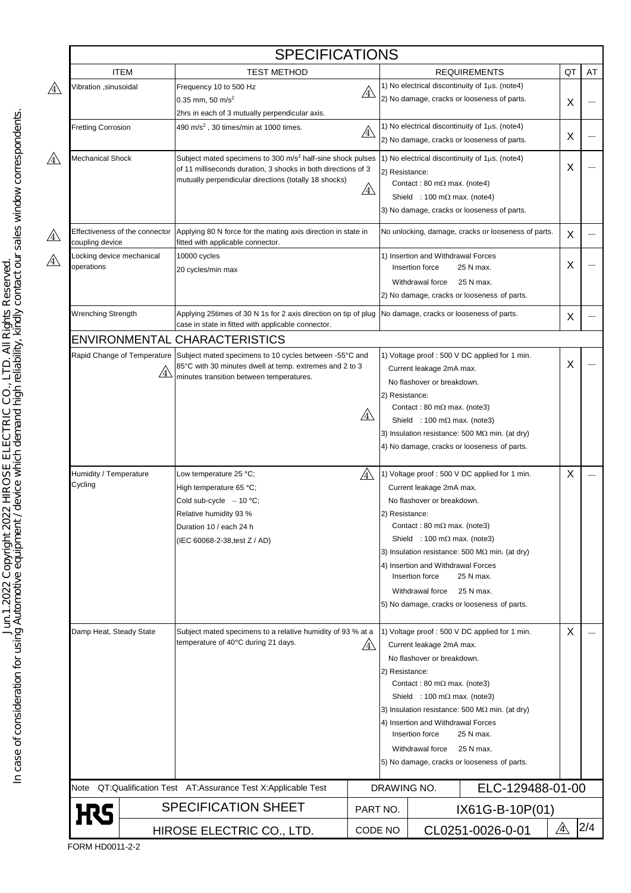|                                                              |                                           | <b>SPECIFICATIONS</b>                                                                                                                                                                                          |              |                                                                                                                                                                                                                                                                                                                                                                                                                          |                                                                                                                                                                                                                                                                                                                                                                                                                          |    |    |  |  |
|--------------------------------------------------------------|-------------------------------------------|----------------------------------------------------------------------------------------------------------------------------------------------------------------------------------------------------------------|--------------|--------------------------------------------------------------------------------------------------------------------------------------------------------------------------------------------------------------------------------------------------------------------------------------------------------------------------------------------------------------------------------------------------------------------------|--------------------------------------------------------------------------------------------------------------------------------------------------------------------------------------------------------------------------------------------------------------------------------------------------------------------------------------------------------------------------------------------------------------------------|----|----|--|--|
|                                                              | <b>ITEM</b>                               | <b>TEST METHOD</b>                                                                                                                                                                                             |              |                                                                                                                                                                                                                                                                                                                                                                                                                          | <b>REQUIREMENTS</b>                                                                                                                                                                                                                                                                                                                                                                                                      | QT | AT |  |  |
| Vibration ,sinusoidal                                        |                                           | Frequency 10 to 500 Hz<br>$\mathbb{A}$<br>$0.35$ mm, 50 m/s <sup>2</sup>                                                                                                                                       |              |                                                                                                                                                                                                                                                                                                                                                                                                                          | 1) No electrical discontinuity of $1\mu s$ . (note4)<br>2) No damage, cracks or looseness of parts.                                                                                                                                                                                                                                                                                                                      |    |    |  |  |
|                                                              |                                           | 2hrs in each of 3 mutually perpendicular axis.                                                                                                                                                                 |              |                                                                                                                                                                                                                                                                                                                                                                                                                          |                                                                                                                                                                                                                                                                                                                                                                                                                          | X  |    |  |  |
| <b>Fretting Corrosion</b>                                    |                                           | 490 m/s <sup>2</sup> , 30 times/min at 1000 times.<br>$\mathbb{A}$                                                                                                                                             |              |                                                                                                                                                                                                                                                                                                                                                                                                                          | 1) No electrical discontinuity of $1\mu s$ . (note4)                                                                                                                                                                                                                                                                                                                                                                     |    |    |  |  |
|                                                              |                                           |                                                                                                                                                                                                                |              |                                                                                                                                                                                                                                                                                                                                                                                                                          | 2) No damage, cracks or looseness of parts.                                                                                                                                                                                                                                                                                                                                                                              |    |    |  |  |
| Mechanical Shock                                             |                                           | Subject mated specimens to 300 m/s <sup>2</sup> half-sine shock pulses<br>of 11 milliseconds duration, 3 shocks in both directions of 3<br>mutually perpendicular directions (totally 18 shocks)<br><u>/4\</u> |              |                                                                                                                                                                                                                                                                                                                                                                                                                          | 1) No electrical discontinuity of $1\mu s$ . (note4)<br>2) Resistance:<br>Contact: 80 m $\Omega$ max. (note4)<br>Shield : 100 m $\Omega$ max. (note4)<br>3) No damage, cracks or looseness of parts.                                                                                                                                                                                                                     |    |    |  |  |
| Effectiveness of the connector<br>coupling device            |                                           | Applying 80 N force for the mating axis direction in state in<br>fitted with applicable connector.                                                                                                             |              |                                                                                                                                                                                                                                                                                                                                                                                                                          | No unlocking, damage, cracks or looseness of parts.                                                                                                                                                                                                                                                                                                                                                                      |    |    |  |  |
| Locking device mechanical<br>operations                      |                                           | 10000 cycles<br>20 cycles/min max                                                                                                                                                                              |              |                                                                                                                                                                                                                                                                                                                                                                                                                          | 1) Insertion and Withdrawal Forces<br>Insertion force<br>25 N max.<br>Withdrawal force<br>25 N max.                                                                                                                                                                                                                                                                                                                      | Χ  |    |  |  |
| <b>Wrenching Strength</b>                                    |                                           | Applying 25times of 30 N 1s for 2 axis direction on tip of plug                                                                                                                                                |              |                                                                                                                                                                                                                                                                                                                                                                                                                          | 2) No damage, cracks or looseness of parts.                                                                                                                                                                                                                                                                                                                                                                              | Х  |    |  |  |
|                                                              |                                           | case in state in fitted with applicable connector.                                                                                                                                                             |              |                                                                                                                                                                                                                                                                                                                                                                                                                          | No damage, cracks or looseness of parts.                                                                                                                                                                                                                                                                                                                                                                                 |    |    |  |  |
|                                                              |                                           | ENVIRONMENTAL CHARACTERISTICS                                                                                                                                                                                  |              |                                                                                                                                                                                                                                                                                                                                                                                                                          |                                                                                                                                                                                                                                                                                                                                                                                                                          |    |    |  |  |
|                                                              | Rapid Change of Temperature<br>$\angle 4$ | Subject mated specimens to 10 cycles between -55°C and<br>85°C with 30 minutes dwell at temp. extremes and 2 to 3<br>minutes transition between temperatures.                                                  | $\mathbb{A}$ | 2) Resistance:                                                                                                                                                                                                                                                                                                                                                                                                           | 1) Voltage proof: 500 V DC applied for 1 min.<br>Current leakage 2mA max.<br>No flashover or breakdown.<br>Contact: 80 m $\Omega$ max. (note3)<br>Shield : 100 m $\Omega$ max. (note3)<br>3) Insulation resistance: 500 M $\Omega$ min. (at dry)<br>4) No damage, cracks or looseness of parts.                                                                                                                          | X  |    |  |  |
| Humidity / Temperature<br>Cycling<br>Damp Heat, Steady State |                                           | Low temperature 25 °C;<br>/4<br>High temperature 65 °C;<br>Cold sub-cycle $-10$ °C;<br>Relative humidity 93 %<br>Duration 10 / each 24 h<br>(IEC 60068-2-38, test Z / AD)                                      |              |                                                                                                                                                                                                                                                                                                                                                                                                                          | 1) Voltage proof: 500 V DC applied for 1 min.<br>Current leakage 2mA max.<br>No flashover or breakdown.<br>2) Resistance:<br>Contact: 80 m $\Omega$ max. (note3)<br>Shield : 100 m $\Omega$ max. (note3)<br>3) Insulation resistance: 500 M $\Omega$ min. (at dry)<br>4) Insertion and Withdrawal Forces<br>25 N max.<br>Insertion force<br>Withdrawal force<br>25 N max.<br>5) No damage, cracks or looseness of parts. |    |    |  |  |
|                                                              |                                           | Subject mated specimens to a relative humidity of 93 % at a<br>temperature of 40°C during 21 days.<br>/4                                                                                                       |              | 1) Voltage proof: 500 V DC applied for 1 min.<br>Current leakage 2mA max.<br>No flashover or breakdown.<br>2) Resistance:<br>Contact: 80 m $\Omega$ max. (note3)<br>Shield : 100 m $\Omega$ max. (note3)<br>3) Insulation resistance: 500 M $\Omega$ min. (at dry)<br>4) Insertion and Withdrawal Forces<br>25 N max.<br>Insertion force<br>25 N max.<br>Withdrawal force<br>5) No damage, cracks or looseness of parts. |                                                                                                                                                                                                                                                                                                                                                                                                                          |    |    |  |  |
| Note                                                         |                                           | QT:Qualification Test  AT:Assurance Test X:Applicable Test                                                                                                                                                     |              | DRAWING NO.                                                                                                                                                                                                                                                                                                                                                                                                              | ELC-129488-01-00                                                                                                                                                                                                                                                                                                                                                                                                         |    |    |  |  |
| <b>H</b> S                                                   |                                           | <b>SPECIFICATION SHEET</b>                                                                                                                                                                                     |              |                                                                                                                                                                                                                                                                                                                                                                                                                          | IX61G-B-10P(01)                                                                                                                                                                                                                                                                                                                                                                                                          |    |    |  |  |
|                                                              | HIROSE ELECTRIC CO., LTD.                 |                                                                                                                                                                                                                |              | ⚠<br>CL0251-0026-0-01<br>CODE NO                                                                                                                                                                                                                                                                                                                                                                                         |                                                                                                                                                                                                                                                                                                                                                                                                                          |    |    |  |  |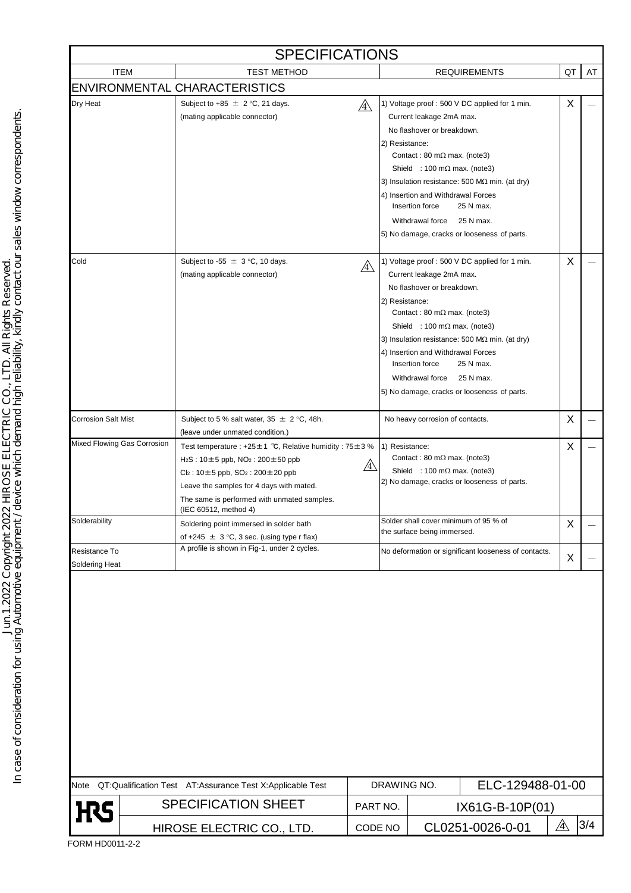| <b>SPECIFICATIONS</b>                                          |                           |                                                                                                                                                                                                                                                                                            |              |                                 |                                                                                                                                                                                                                    |                                                                                                                                                                                   |    |     |  |  |  |
|----------------------------------------------------------------|---------------------------|--------------------------------------------------------------------------------------------------------------------------------------------------------------------------------------------------------------------------------------------------------------------------------------------|--------------|---------------------------------|--------------------------------------------------------------------------------------------------------------------------------------------------------------------------------------------------------------------|-----------------------------------------------------------------------------------------------------------------------------------------------------------------------------------|----|-----|--|--|--|
|                                                                | <b>ITEM</b>               | <b>TEST METHOD</b>                                                                                                                                                                                                                                                                         |              |                                 |                                                                                                                                                                                                                    | <b>REQUIREMENTS</b>                                                                                                                                                               | QT | AT  |  |  |  |
|                                                                |                           | <b>ENVIRONMENTAL CHARACTERISTICS</b>                                                                                                                                                                                                                                                       |              |                                 |                                                                                                                                                                                                                    |                                                                                                                                                                                   |    |     |  |  |  |
| Dry Heat                                                       |                           | Subject to +85 $\pm$ 2 °C, 21 days.<br>(mating applicable connector)                                                                                                                                                                                                                       | $\mathbb{A}$ | 2) Resistance:                  | Current leakage 2mA max.<br>No flashover or breakdown.<br>Contact: 80 m $\Omega$ max. (note3)<br>Shield : 100 m $\Omega$ max. (note3)<br>4) Insertion and Withdrawal Forces<br>Insertion force<br>Withdrawal force | 1) Voltage proof : 500 V DC applied for 1 min.<br>3) Insulation resistance: 500 M $\Omega$ min. (at dry)<br>25 N max.<br>25 N max.<br>5) No damage, cracks or looseness of parts. | X  |     |  |  |  |
| Cold                                                           |                           | Subject to -55 $\pm$ 3 °C, 10 days.<br>(mating applicable connector)                                                                                                                                                                                                                       | /4           | 2) Resistance:                  | Current leakage 2mA max.<br>No flashover or breakdown.<br>Contact: 80 m $\Omega$ max. (note3)<br>Shield : 100 m $\Omega$ max. (note3)<br>4) Insertion and Withdrawal Forces<br>Insertion force<br>Withdrawal force | 1) Voltage proof : 500 V DC applied for 1 min.<br>3) Insulation resistance: 500 M $\Omega$ min. (at dry)<br>25 N max.<br>25 N max.<br>5) No damage, cracks or looseness of parts. | X  |     |  |  |  |
| <b>Corrosion Salt Mist</b>                                     |                           | Subject to 5 % salt water, $35 \pm 2$ °C, 48h.<br>(leave under unmated condition.)                                                                                                                                                                                                         |              |                                 | No heavy corrosion of contacts.                                                                                                                                                                                    |                                                                                                                                                                                   | X  |     |  |  |  |
| Mixed Flowing Gas Corrosion                                    |                           | Test temperature : +25 $\pm$ 1 °C, Relative humidity : 75 $\pm$ 3 %<br>$H_2S: 10 \pm 5$ ppb, $NO_2: 200 \pm 50$ ppb<br>$Cl_2$ : 10±5 ppb, SO <sub>2</sub> : 200±20 ppb<br>Leave the samples for 4 days with mated.<br>The same is performed with unmated samples.<br>(IEC 60512, method 4) | /4\          | 1) Resistance:                  | Contact: 80 m $\Omega$ max. (note3)<br>Shield : 100 m $\Omega$ max. (note3)                                                                                                                                        | 2) No damage, cracks or looseness of parts.                                                                                                                                       | X  |     |  |  |  |
| Solderability                                                  |                           | Soldering point immersed in solder bath<br>of +245 $\pm$ 3 °C, 3 sec. (using type r flax)                                                                                                                                                                                                  |              |                                 | Solder shall cover minimum of 95 % of<br>the surface being immersed.                                                                                                                                               |                                                                                                                                                                                   | X  |     |  |  |  |
| Resistance To<br>Soldering Heat                                |                           | A profile is shown in Fig-1, under 2 cycles.                                                                                                                                                                                                                                               |              |                                 |                                                                                                                                                                                                                    | No deformation or significant looseness of contacts.                                                                                                                              | X  |     |  |  |  |
|                                                                |                           |                                                                                                                                                                                                                                                                                            |              |                                 |                                                                                                                                                                                                                    |                                                                                                                                                                                   |    |     |  |  |  |
| Note QT:Qualification Test AT:Assurance Test X:Applicable Test |                           |                                                                                                                                                                                                                                                                                            |              | ELC-129488-01-00<br>DRAWING NO. |                                                                                                                                                                                                                    |                                                                                                                                                                                   |    |     |  |  |  |
| <b>H</b> S                                                     |                           | <b>SPECIFICATION SHEET</b>                                                                                                                                                                                                                                                                 | PART NO.     |                                 |                                                                                                                                                                                                                    | IX61G-B-10P(01)                                                                                                                                                                   |    |     |  |  |  |
|                                                                | HIROSE ELECTRIC CO., LTD. |                                                                                                                                                                                                                                                                                            |              | CODE NO                         | CL0251-0026-0-01                                                                                                                                                                                                   |                                                                                                                                                                                   | ⚠  | 3/4 |  |  |  |

In case of consideration for using Automotive equipment / device which demand high reliability, kindly contact our sales window correspondents.<br>In case of consideration for using Automotive equipment / device which demand In case of consideration for using Automotive equipment / device which demand high reliability, kindly contact our sales window correspondents.Jun.1.2022 Copyright 2022 HIROSE ELECTRIC CO., LTD. All Rights Reserved.